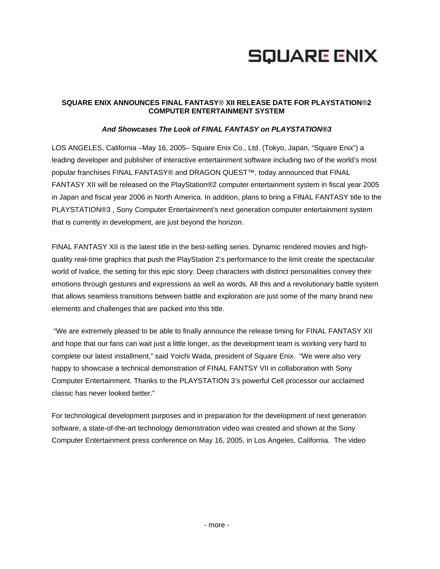# **SQUARE ENIX**

# **SQUARE ENIX ANNOUNCES FINAL FANTASY**® **XII RELEASE DATE FOR PLAYSTATION**®**2 COMPUTER ENTERTAINMENT SYSTEM**

### *And Showcases The Look of FINAL FANTASY on PLAYSTATION®3*

LOS ANGELES, California –May 16, 2005– Square Enix Co., Ltd. (Tokyo, Japan, "Square Enix") a leading developer and publisher of interactive entertainment software including two of the world's most popular franchises FINAL FANTASY® and DRAGON QUEST™, today announced that FINAL FANTASY XII will be released on the PlayStation®2 computer entertainment system in fiscal year 2005 in Japan and fiscal year 2006 in North America. In addition, plans to bring a FINAL FANTASY title to the PLAYSTATION®3 , Sony Computer Entertainment's next generation computer entertainment system that is currently in development, are just beyond the horizon.

FINAL FANTASY XII is the latest title in the best-selling series. Dynamic rendered movies and highquality real-time graphics that push the PlayStation 2's performance to the limit create the spectacular world of Ivalice, the setting for this epic story. Deep characters with distinct personalities convey their emotions through gestures and expressions as well as words. All this and a revolutionary battle system that allows seamless transitions between battle and exploration are just some of the many brand new elements and challenges that are packed into this title.

 "We are extremely pleased to be able to finally announce the release timing for FINAL FANTASY XII and hope that our fans can wait just a little longer, as the development team is working very hard to complete our latest installment," said Yoichi Wada, president of Square Enix. "We were also very happy to showcase a technical demonstration of FINAL FANTSY VII in collaboration with Sony Computer Entertainment. Thanks to the PLAYSTATION 3's powerful Cell processor our acclaimed classic has never looked better."

For technological development purposes and in preparation for the development of next generation software, a state-of-the-art technology demonstration video was created and shown at the Sony Computer Entertainment press conference on May 16, 2005, in Los Angeles, California. The video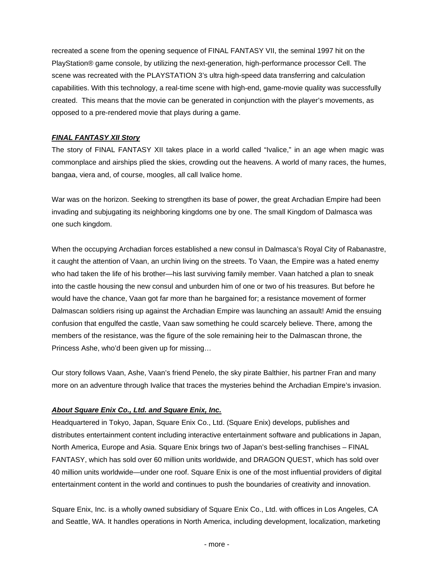recreated a scene from the opening sequence of FINAL FANTASY VII, the seminal 1997 hit on the PlayStation® game console, by utilizing the next-generation, high-performance processor Cell. The scene was recreated with the PLAYSTATION 3's ultra high-speed data transferring and calculation capabilities. With this technology, a real-time scene with high-end, game-movie quality was successfully created. This means that the movie can be generated in conjunction with the player's movements, as opposed to a pre-rendered movie that plays during a game.

# *FINAL FANTASY XII Story*

The story of FINAL FANTASY XII takes place in a world called "Ivalice," in an age when magic was commonplace and airships plied the skies, crowding out the heavens. A world of many races, the humes, bangaa, viera and, of course, moogles, all call Ivalice home.

War was on the horizon. Seeking to strengthen its base of power, the great Archadian Empire had been invading and subjugating its neighboring kingdoms one by one. The small Kingdom of Dalmasca was one such kingdom.

When the occupying Archadian forces established a new consul in Dalmasca's Royal City of Rabanastre, it caught the attention of Vaan, an urchin living on the streets. To Vaan, the Empire was a hated enemy who had taken the life of his brother—his last surviving family member. Vaan hatched a plan to sneak into the castle housing the new consul and unburden him of one or two of his treasures. But before he would have the chance, Vaan got far more than he bargained for; a resistance movement of former Dalmascan soldiers rising up against the Archadian Empire was launching an assault! Amid the ensuing confusion that engulfed the castle, Vaan saw something he could scarcely believe. There, among the members of the resistance, was the figure of the sole remaining heir to the Dalmascan throne, the Princess Ashe, who'd been given up for missing…

Our story follows Vaan, Ashe, Vaan's friend Penelo, the sky pirate Balthier, his partner Fran and many more on an adventure through Ivalice that traces the mysteries behind the Archadian Empire's invasion.

### *About Square Enix Co., Ltd. and Square Enix, Inc.*

Headquartered in Tokyo, Japan, Square Enix Co., Ltd. (Square Enix) develops, publishes and distributes entertainment content including interactive entertainment software and publications in Japan, North America, Europe and Asia. Square Enix brings two of Japan's best-selling franchises – FINAL FANTASY, which has sold over 60 million units worldwide, and DRAGON QUEST, which has sold over 40 million units worldwide—under one roof. Square Enix is one of the most influential providers of digital entertainment content in the world and continues to push the boundaries of creativity and innovation.

Square Enix, Inc. is a wholly owned subsidiary of Square Enix Co., Ltd. with offices in Los Angeles, CA and Seattle, WA. It handles operations in North America, including development, localization, marketing